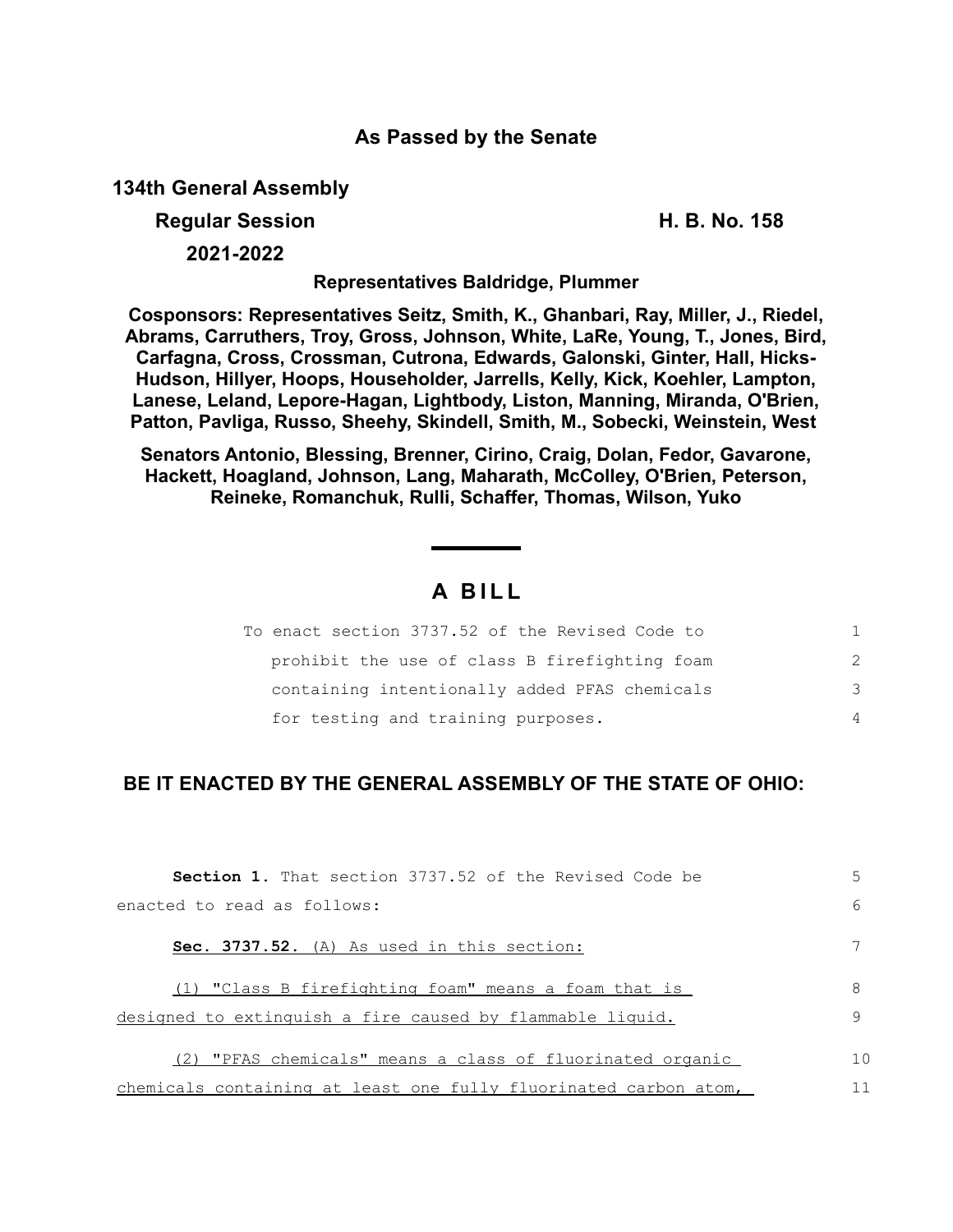## **As Passed by the Senate**

**134th General Assembly**

**Regular Session H. B. No. 158**

**2021-2022**

**Representatives Baldridge, Plummer**

**Cosponsors: Representatives Seitz, Smith, K., Ghanbari, Ray, Miller, J., Riedel, Abrams, Carruthers, Troy, Gross, Johnson, White, LaRe, Young, T., Jones, Bird, Carfagna, Cross, Crossman, Cutrona, Edwards, Galonski, Ginter, Hall, Hicks-Hudson, Hillyer, Hoops, Householder, Jarrells, Kelly, Kick, Koehler, Lampton, Lanese, Leland, Lepore-Hagan, Lightbody, Liston, Manning, Miranda, O'Brien, Patton, Pavliga, Russo, Sheehy, Skindell, Smith, M., Sobecki, Weinstein, West** 

**Senators Antonio, Blessing, Brenner, Cirino, Craig, Dolan, Fedor, Gavarone, Hackett, Hoagland, Johnson, Lang, Maharath, McColley, O'Brien, Peterson, Reineke, Romanchuk, Rulli, Schaffer, Thomas, Wilson, Yuko**

## **A B I L L**

| To enact section 3737.52 of the Revised Code to |               |
|-------------------------------------------------|---------------|
| prohibit the use of class B firefighting foam   | $\mathcal{P}$ |
| containing intentionally added PFAS chemicals   | 3             |
| for testing and training purposes.              | 4             |

## **BE IT ENACTED BY THE GENERAL ASSEMBLY OF THE STATE OF OHIO:**

| <b>Section 1.</b> That section 3737.52 of the Revised Code be    | 5              |
|------------------------------------------------------------------|----------------|
| enacted to read as follows:                                      | 6              |
| Sec. 3737.52. (A) As used in this section:                       |                |
| (1) "Class B firefighting foam" means a foam that is             | 8              |
| designed to extinguish a fire caused by flammable liquid.        | 9              |
| (2) "PFAS chemicals" means a class of fluorinated organic        | 1 <sub>0</sub> |
| chemicals containing at least one fully fluorinated carbon atom, |                |